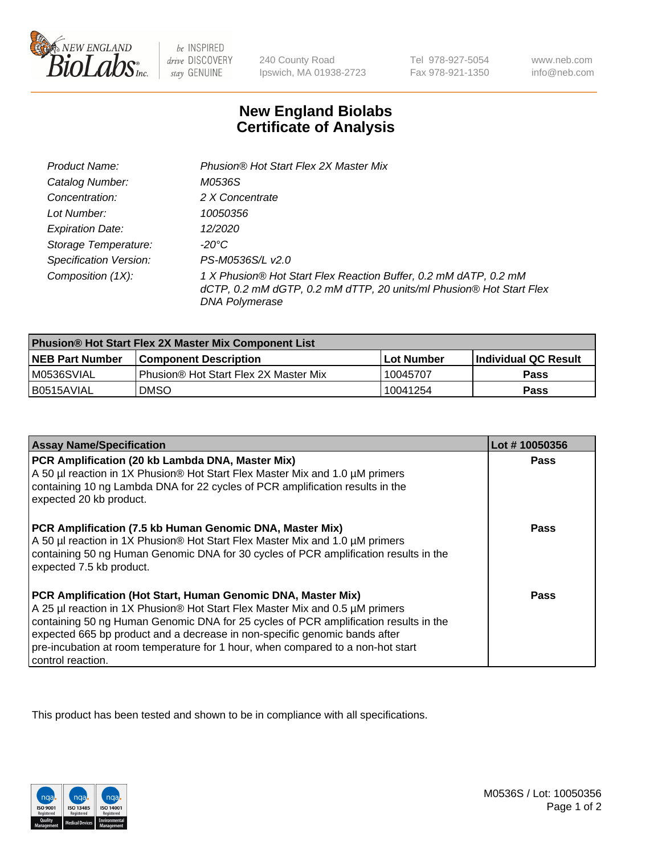

be INSPIRED drive DISCOVERY stay GENUINE

240 County Road Ipswich, MA 01938-2723

Tel 978-927-5054 Fax 978-921-1350

www.neb.com info@neb.com

## **New England Biolabs Certificate of Analysis**

| Product Name:           | Phusion® Hot Start Flex 2X Master Mix                                                                                                                            |
|-------------------------|------------------------------------------------------------------------------------------------------------------------------------------------------------------|
| Catalog Number:         | M0536S                                                                                                                                                           |
| Concentration:          | 2 X Concentrate                                                                                                                                                  |
| Lot Number:             | 10050356                                                                                                                                                         |
| <b>Expiration Date:</b> | 12/2020                                                                                                                                                          |
| Storage Temperature:    | -20°C                                                                                                                                                            |
| Specification Version:  | PS-M0536S/L v2.0                                                                                                                                                 |
| Composition (1X):       | 1 X Phusion® Hot Start Flex Reaction Buffer, 0.2 mM dATP, 0.2 mM<br>dCTP, 0.2 mM dGTP, 0.2 mM dTTP, 20 units/ml Phusion® Hot Start Flex<br><b>DNA Polymerase</b> |

| Phusion® Hot Start Flex 2X Master Mix Component List |                                              |            |                      |  |
|------------------------------------------------------|----------------------------------------------|------------|----------------------|--|
| <b>NEB Part Number</b>                               | <b>Component Description</b>                 | Lot Number | Individual QC Result |  |
| M0536SVIAL                                           | <b>Phusion® Hot Start Flex 2X Master Mix</b> | 10045707   | <b>Pass</b>          |  |
| I B0515AVIAL                                         | <b>DMSO</b>                                  | 10041254   | <b>Pass</b>          |  |

| <b>Assay Name/Specification</b>                                                                                                                                                                                                                                                                                                                                                                                            | Lot #10050356 |
|----------------------------------------------------------------------------------------------------------------------------------------------------------------------------------------------------------------------------------------------------------------------------------------------------------------------------------------------------------------------------------------------------------------------------|---------------|
| PCR Amplification (20 kb Lambda DNA, Master Mix)<br>A 50 µl reaction in 1X Phusion® Hot Start Flex Master Mix and 1.0 µM primers<br>containing 10 ng Lambda DNA for 22 cycles of PCR amplification results in the<br>expected 20 kb product.                                                                                                                                                                               | <b>Pass</b>   |
| PCR Amplification (7.5 kb Human Genomic DNA, Master Mix)<br>A 50 µl reaction in 1X Phusion® Hot Start Flex Master Mix and 1.0 µM primers<br>containing 50 ng Human Genomic DNA for 30 cycles of PCR amplification results in the<br>expected 7.5 kb product.                                                                                                                                                               | Pass          |
| PCR Amplification (Hot Start, Human Genomic DNA, Master Mix)<br>A 25 µl reaction in 1X Phusion® Hot Start Flex Master Mix and 0.5 µM primers<br>containing 50 ng Human Genomic DNA for 25 cycles of PCR amplification results in the<br>expected 665 bp product and a decrease in non-specific genomic bands after<br>pre-incubation at room temperature for 1 hour, when compared to a non-hot start<br>control reaction. | Pass          |

This product has been tested and shown to be in compliance with all specifications.